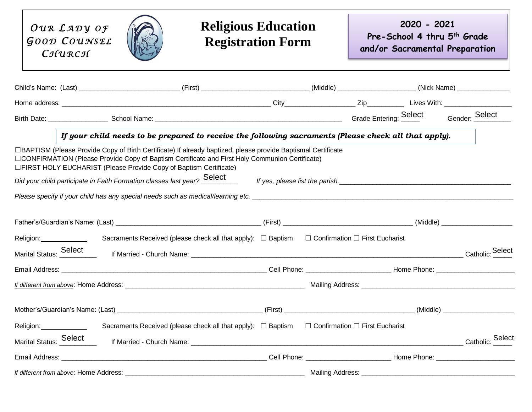| OUR LADY OF<br>GOOD COUNSEL<br>CHURCH                                                                                                                                                                                                                                                                                                                             |  |                                                                                                              | <b>Religious Education</b><br><b>Registration Form</b> |  | 2020 - 2021                     | Pre-School 4 thru 5 <sup>th</sup> Grade<br>and/or Sacramental Preparation |
|-------------------------------------------------------------------------------------------------------------------------------------------------------------------------------------------------------------------------------------------------------------------------------------------------------------------------------------------------------------------|--|--------------------------------------------------------------------------------------------------------------|--------------------------------------------------------|--|---------------------------------|---------------------------------------------------------------------------|
| Child's Name: (Last) ______________________________(First) __________________________(Middle) _________________(Nick Name) ____________                                                                                                                                                                                                                           |  |                                                                                                              |                                                        |  |                                 |                                                                           |
|                                                                                                                                                                                                                                                                                                                                                                   |  |                                                                                                              |                                                        |  |                                 |                                                                           |
|                                                                                                                                                                                                                                                                                                                                                                   |  |                                                                                                              |                                                        |  |                                 |                                                                           |
|                                                                                                                                                                                                                                                                                                                                                                   |  | If your child needs to be prepared to receive the following sacraments (Please check all that apply).        |                                                        |  |                                 |                                                                           |
| □BAPTISM (Please Provide Copy of Birth Certificate) If already baptized, please provide Baptismal Certificate<br>□CONFIRMATION (Please Provide Copy of Baptism Certificate and First Holy Communion Certificate)<br>□FIRST HOLY EUCHARIST (Please Provide Copy of Baptism Certificate)<br>Did your child participate in Faith Formation classes last year? Select |  |                                                                                                              |                                                        |  | If yes, please list the parish. |                                                                           |
|                                                                                                                                                                                                                                                                                                                                                                   |  |                                                                                                              |                                                        |  |                                 |                                                                           |
|                                                                                                                                                                                                                                                                                                                                                                   |  |                                                                                                              |                                                        |  |                                 |                                                                           |
| Religion: _______________                                                                                                                                                                                                                                                                                                                                         |  | Sacraments Received (please check all that apply): $\Box$ Baptism $\Box$ Confirmation $\Box$ First Eucharist |                                                        |  |                                 |                                                                           |
| Marital Status: Select                                                                                                                                                                                                                                                                                                                                            |  |                                                                                                              |                                                        |  |                                 | Catholic: Select                                                          |
|                                                                                                                                                                                                                                                                                                                                                                   |  |                                                                                                              |                                                        |  |                                 |                                                                           |
|                                                                                                                                                                                                                                                                                                                                                                   |  |                                                                                                              |                                                        |  |                                 |                                                                           |
|                                                                                                                                                                                                                                                                                                                                                                   |  |                                                                                                              | (First)                                                |  |                                 | (Middle)                                                                  |
| Religion: Sacraments Received (please check all that apply): □ Baptism □ Confirmation □ First Eucharist                                                                                                                                                                                                                                                           |  |                                                                                                              |                                                        |  |                                 |                                                                           |
| Marital Status: Select                                                                                                                                                                                                                                                                                                                                            |  |                                                                                                              |                                                        |  |                                 | Catholic: Select                                                          |
|                                                                                                                                                                                                                                                                                                                                                                   |  |                                                                                                              |                                                        |  |                                 | Cell Phone: Home Phone:                                                   |
|                                                                                                                                                                                                                                                                                                                                                                   |  |                                                                                                              |                                                        |  |                                 |                                                                           |